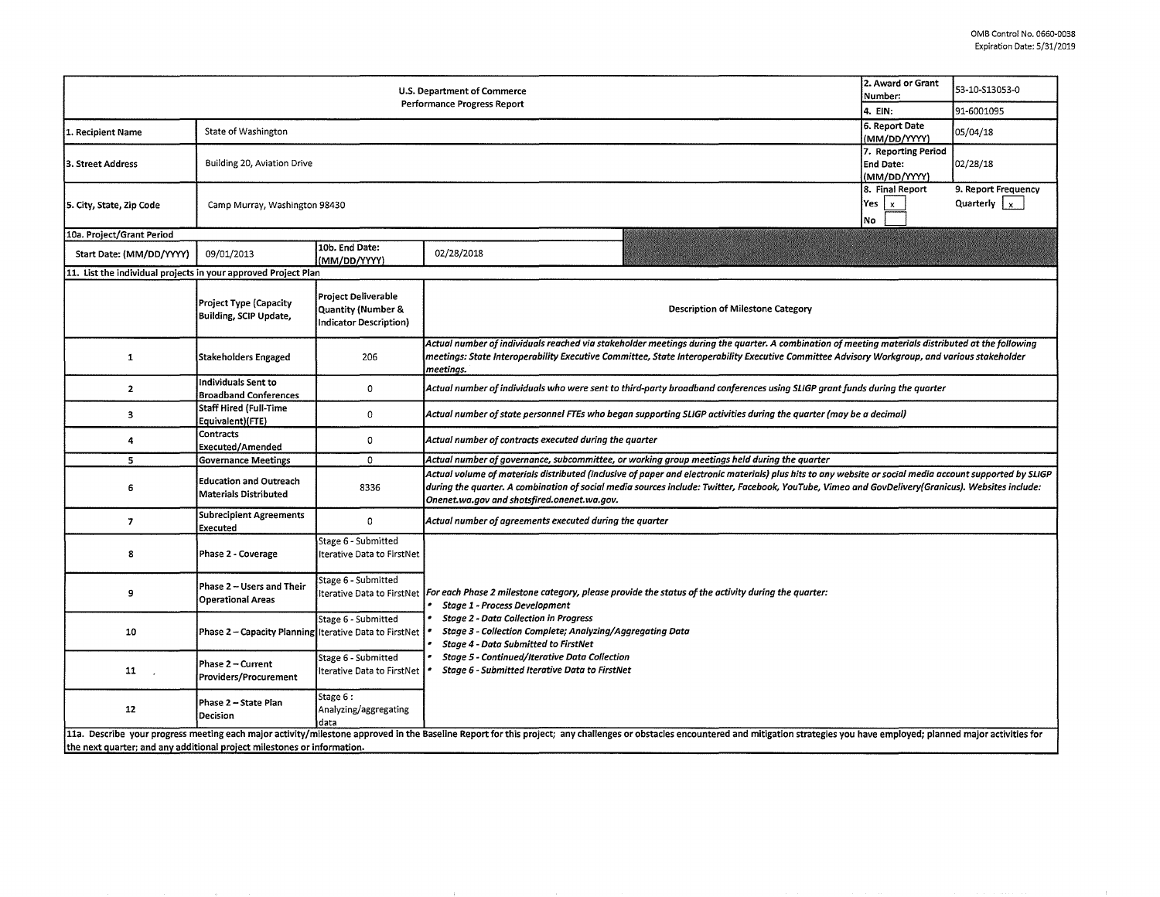| U.S. Department of Commerce<br><b>Performance Progress Report</b>                                                                                                                                                                                                                                         |                                                            |                                                                                                             |                                                                                                                                                                                                                                                                                                                                                                                                                                 |  | 53-10-S13053-0<br>91-6001095 |  |  |  |  |  |
|-----------------------------------------------------------------------------------------------------------------------------------------------------------------------------------------------------------------------------------------------------------------------------------------------------------|------------------------------------------------------------|-------------------------------------------------------------------------------------------------------------|---------------------------------------------------------------------------------------------------------------------------------------------------------------------------------------------------------------------------------------------------------------------------------------------------------------------------------------------------------------------------------------------------------------------------------|--|------------------------------|--|--|--|--|--|
|                                                                                                                                                                                                                                                                                                           |                                                            |                                                                                                             |                                                                                                                                                                                                                                                                                                                                                                                                                                 |  |                              |  |  |  |  |  |
| 1. Recipient Name                                                                                                                                                                                                                                                                                         | State of Washington                                        | 6. Report Date<br>(MM/DD/YYYY)                                                                              | 05/04/18                                                                                                                                                                                                                                                                                                                                                                                                                        |  |                              |  |  |  |  |  |
| 3. Street Address                                                                                                                                                                                                                                                                                         | Building 20, Aviation Drive                                | 7. Reporting Period<br><b>End Date:</b><br>(MM/DD/YYYY)                                                     | 02/28/18                                                                                                                                                                                                                                                                                                                                                                                                                        |  |                              |  |  |  |  |  |
| 5. City, State, Zip Code                                                                                                                                                                                                                                                                                  | Camp Murray, Washington 98430                              | 8. Final Report<br>Yes $\vert x \vert$<br>No                                                                | 9. Report Frequency<br>Quarterly $\vert x \vert$                                                                                                                                                                                                                                                                                                                                                                                |  |                              |  |  |  |  |  |
| 10a. Project/Grant Period                                                                                                                                                                                                                                                                                 |                                                            |                                                                                                             |                                                                                                                                                                                                                                                                                                                                                                                                                                 |  |                              |  |  |  |  |  |
| Start Date: (MM/DD/YYYY)                                                                                                                                                                                                                                                                                  | 09/01/2013                                                 | 10b. End Date:<br>(MM/DD/YYYY)                                                                              | 02/28/2018                                                                                                                                                                                                                                                                                                                                                                                                                      |  |                              |  |  |  |  |  |
| 11. List the individual projects in your approved Project Plan                                                                                                                                                                                                                                            |                                                            |                                                                                                             |                                                                                                                                                                                                                                                                                                                                                                                                                                 |  |                              |  |  |  |  |  |
|                                                                                                                                                                                                                                                                                                           | <b>Project Type (Capacity</b><br>Building, SCIP Update,    | <b>Project Deliverable</b><br>Quantity (Number &<br>Indicator Description)                                  | <b>Description of Milestone Category</b>                                                                                                                                                                                                                                                                                                                                                                                        |  |                              |  |  |  |  |  |
| 1                                                                                                                                                                                                                                                                                                         | <b>Stakeholders Engaged</b>                                | 206                                                                                                         | Actual number of individuals reached via stakeholder meetings during the quarter. A combination of meeting materials distributed at the following<br>meetings: State Interoperability Executive Committee, State Interoperability Executive Committee Advisory Workgroup, and various stakeholder<br>meetinas.                                                                                                                  |  |                              |  |  |  |  |  |
| $\mathbf{z}$                                                                                                                                                                                                                                                                                              | Individuals Sent to<br><b>Broadband Conferences</b>        | $\circ$                                                                                                     | Actual number of individuals who were sent to third-party broadband conferences using SLIGP grant funds during the quarter                                                                                                                                                                                                                                                                                                      |  |                              |  |  |  |  |  |
| 3                                                                                                                                                                                                                                                                                                         | <b>Staff Hired (Full-Time</b><br>Equivalent)(FTE)          | $\mathsf{o}\xspace$                                                                                         | Actual number of state personnel FTEs who began supporting SLIGP activities during the quarter (may be a decimal)                                                                                                                                                                                                                                                                                                               |  |                              |  |  |  |  |  |
| 4                                                                                                                                                                                                                                                                                                         | Contracts<br><b>Executed/Amended</b>                       | 0                                                                                                           | Actual number of contracts executed during the quarter                                                                                                                                                                                                                                                                                                                                                                          |  |                              |  |  |  |  |  |
| 5                                                                                                                                                                                                                                                                                                         | <b>Governance Meetings</b>                                 | $\mathbf 0$<br>Actual number of governance, subcommittee, or working group meetings held during the quarter |                                                                                                                                                                                                                                                                                                                                                                                                                                 |  |                              |  |  |  |  |  |
| 6                                                                                                                                                                                                                                                                                                         | <b>Education and Outreach</b><br>Materials Distributed     | 8336                                                                                                        | Actual volume of materials distributed (inclusive of paper and electronic materials) plus hits to any website or social media account supported by SLIGP<br>during the quarter. A combination of social media sources include: Twitter, Facebook, YouTube, Vimeo and GovDelivery(Granicus). Websites include:<br>Onenet.wa.gov and shotsfired.onenet.wa.gov.                                                                    |  |                              |  |  |  |  |  |
| $\overline{7}$                                                                                                                                                                                                                                                                                            | <b>Subrecipient Agreements</b><br>Executed                 | $\circ$                                                                                                     | Actual number of agreements executed during the quarter                                                                                                                                                                                                                                                                                                                                                                         |  |                              |  |  |  |  |  |
| 8                                                                                                                                                                                                                                                                                                         | Phase 2 - Coverage                                         | Stage 6 - Submitted<br>Iterative Data to FirstNet                                                           |                                                                                                                                                                                                                                                                                                                                                                                                                                 |  |                              |  |  |  |  |  |
| 9                                                                                                                                                                                                                                                                                                         | Phase 2 - Users and Their<br><b>Operational Areas</b>      | Stage 6 - Submitted                                                                                         | lterative Data to FirstNet   For each Phase 2 milestone category, please provide the status of the activity during the quarter:<br>Stage 1 - Process Development<br><b>Stage 2 - Data Collection in Progress</b><br>Stage 3 - Collection Complete; Analyzing/Aggregating Data<br><b>Stage 4 - Data Submitted to FirstNet</b><br>Stage 5 - Continued/Iterative Data Collection<br>Stage 6 - Submitted Iterative Data to FirstNet |  |                              |  |  |  |  |  |
| 10                                                                                                                                                                                                                                                                                                        | Phase 2 – Capacity Planning Iterative Data to FirstNet   • | Stage 6 - Submitted                                                                                         |                                                                                                                                                                                                                                                                                                                                                                                                                                 |  |                              |  |  |  |  |  |
| 11                                                                                                                                                                                                                                                                                                        | Phase 2 – Current<br>Providers/Procurement                 | Stage 6 - Submitted<br>Iterative Data to FirstNet                                                           |                                                                                                                                                                                                                                                                                                                                                                                                                                 |  |                              |  |  |  |  |  |
| 12                                                                                                                                                                                                                                                                                                        | Phase 2 - State Plan<br>Decision                           | Stage 6:<br>Analyzing/aggregating<br>data                                                                   |                                                                                                                                                                                                                                                                                                                                                                                                                                 |  |                              |  |  |  |  |  |
| 11a. Describe your progress meeting each major activity/milestone approved in the Baseline Report for this project; any challenges or obstacles encountered and mitigation strategies you have employed; planned major activit<br>the next quarter; and any additional project milestones or information. |                                                            |                                                                                                             |                                                                                                                                                                                                                                                                                                                                                                                                                                 |  |                              |  |  |  |  |  |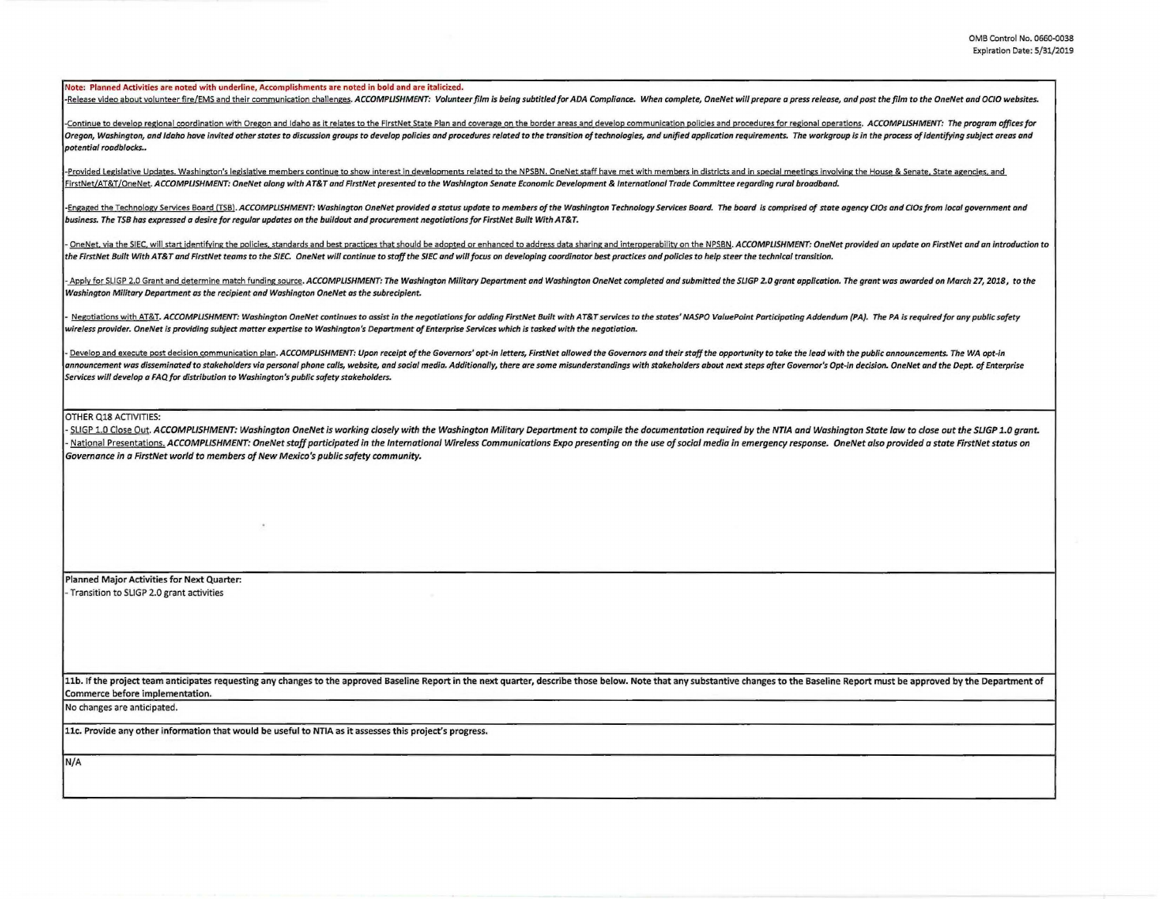## Note: Planned Activities are noted with underline, Accomplishments are noted in bold and are italicized.

-Release video about volunteer fire/EMS and their communication challenges. ACCOMPLISHMENT: Volunteer film is being subtitled for ADA Compliance. When complete, OneNet will prepare a press release, and post the film to the

Continue to develop regional coordination with Oregon and Idaho as it relates to the FirstNet State Plan and coverage on the border areas and develop communication policies and procedures for regional operations. ACCOMPLIS Oregon, Washington, and Idaho have invited other states to discussion groups to develop policies and procedures related to the transition of technologies, and unified application requirements. The workgroup is in the proce potential roadblocks..

-Provided Legislative Updates. Washington's legislative members continue to show interest in developments related to the NPSBN. OneNet staff have met with members in districts and in special meetings involving the House & FirstNet/AT&T/OneNet. ACCOMPLISHMENT: OneNet along with AT&T and FirstNet presented to the Washington Senate Economic Development & International Trade Committee regarding rural broadband.

-Engaged the Technology Services Board (TSB). ACCOMPLISHMENT: Washington OneNet provided a status update to members of the Washington Technology Services Board. The board is comprised of state agency CIOs and CIOs from loc business. The TSB has expressed a desire for regular updates on the buildout and procurement negotiations for FirstNet Built With AT&T.

OneNet, via the SIEC, will start identifying the policies, standards and best practices that should be adopted or enhanced to address data sharing and interoperability on the NPSBN. ACCOMPLISHMENT: OneNet provided an updat the FirstNet Built With AT&T and FirstNet teams to the S/EC. OneNet will continue to staff the SIEC and will focus on developing coordinator best practices and policies to help steer the technical transition.

. Apply for SLIGP 2.0 Grant and determine match funding source. ACCOMPLISHMENT: The Washington Military Department and Washington OneNet completed and submitted the SLIGP 2.0 grant application. The grant was awarded on Mar Washington Military Department as the recipient and Washington OneNet as the subreclpient.

Negotiations with AT&T. ACCOMPLISHMENT: Washington OneNet continues to assist in the negotiations for adding FirstNet Built with AT&T services to the states' NASPO ValuePoint Participating Addendum (PA). The PA is required wireless provider. OneNet is providing subject matter expertise to Washington's Department of Enterprise Services which is tasked with the negotiation.

Develop and execute post decision communication plan. ACCOMPLISHMENT: Upon receipt of the Governors' opt-in letters, FirstNet allowed the Governors and their staff the opportunity to take the lead with the public announcem announcement was disseminated to stakeholders via personal phone calls, website, and social media. Additionally, there are some misunderstandings with stakeholders about next steps after Governor's Opt-in decision. OneNet Services will develop a FAQ for distribution to Washington's public safety stakeholders.

## OTHER Ql8 ACTIVITIES:

- SLIGP 1.0 Close Out. ACCOMPLISHMENT: Washington OneNet is working closely with the Washington Military Department to compile the documentation required by the NTIA and Washington State law to close out the SLIGP 1.0 gran National Presentations. ACCOMPLISHMENT: OneNet staff participated in the International Wireless Communications Expo presenting on the use of social media in emergency response. OneNet also provided a state FirstNet status Governance in a FirstNet world to members of New Mexico's public safety community.

Planned Major Activities for Next Quarter: - Transition to SLIGP 2.0 grant activities

11b. If the project team anticipates requesting any changes to the approved Baseline Report in the next quarter, describe those below. Note that any substantive changes to the Baseline Report must be approved by the Depart Commerce before implementation.

No changes are anticipated.

llc. Provide any other information that would be useful to NTIA as it assesses this project's progress.

N/A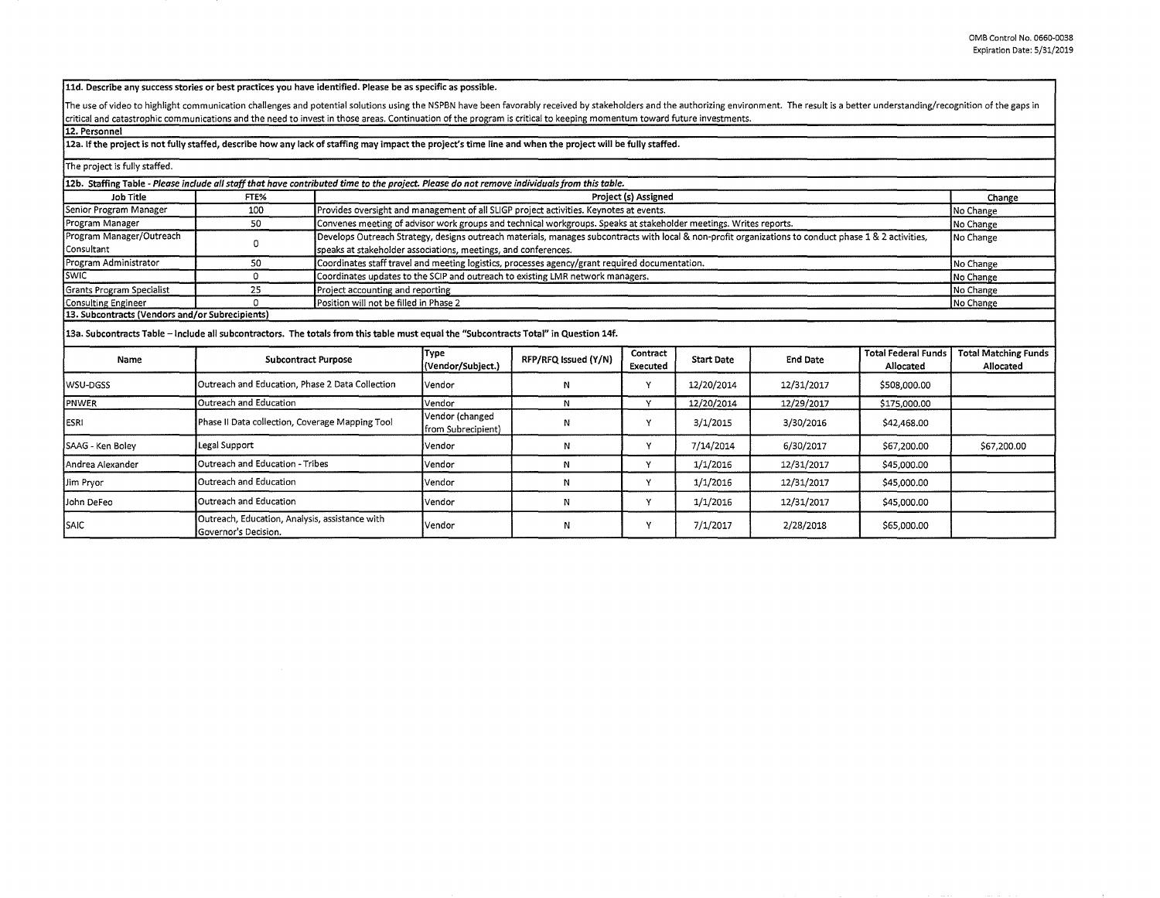## **11d. Describe any success stories or best practices you have identified. Please be as specific as possible.**

The use of video to highlight communication challenges and potential solutions using the NSPBN have been favorably received by stakeholders and the authorizing environment. The result is a better understanding/recognition critical and catastrophic communications and the need to invest in those areas. Continuation of the program is critical to keeping momentum toward future investments.

## **12. Personnel**

**12a. If the project is not fully staffed, describe how any lack of staffing may impact the project's time line and when the project will be fully staffed.** 

| The project is fully staffed.                                                                                                               |                                                                               |  |                                                                                                                                                                    |                                                                |                      |                   |                 |                                         |                                          |  |
|---------------------------------------------------------------------------------------------------------------------------------------------|-------------------------------------------------------------------------------|--|--------------------------------------------------------------------------------------------------------------------------------------------------------------------|----------------------------------------------------------------|----------------------|-------------------|-----------------|-----------------------------------------|------------------------------------------|--|
| 12b. Staffing Table - Please include all staff that have contributed time to the project. Please do not remove individuals from this table. |                                                                               |  |                                                                                                                                                                    |                                                                |                      |                   |                 |                                         |                                          |  |
| Job Title                                                                                                                                   | FTE%                                                                          |  | Project (s) Assigned                                                                                                                                               |                                                                |                      |                   |                 |                                         |                                          |  |
| Senior Program Manager                                                                                                                      | 100                                                                           |  | Provides oversight and management of all SLIGP project activities. Keynotes at events.                                                                             |                                                                |                      |                   |                 |                                         |                                          |  |
| Program Manager                                                                                                                             | 50                                                                            |  | Convenes meeting of advisor work groups and technical workgroups. Speaks at stakeholder meetings. Writes reports.                                                  |                                                                |                      |                   |                 |                                         | No Change                                |  |
| Program Manager/Outreach                                                                                                                    | 0                                                                             |  | Develops Outreach Strategy, designs outreach materials, manages subcontracts with local & non-profit organizations to conduct phase 1 & 2 activities,<br>No Change |                                                                |                      |                   |                 |                                         |                                          |  |
| l Consultant                                                                                                                                |                                                                               |  |                                                                                                                                                                    | speaks at stakeholder associations, meetings, and conferences. |                      |                   |                 |                                         |                                          |  |
| Program Administrator                                                                                                                       | 50                                                                            |  | Coordinates staff travel and meeting logistics, processes agency/grant required documentation.<br>No Change                                                        |                                                                |                      |                   |                 |                                         |                                          |  |
| <b>SWIC</b>                                                                                                                                 | $\Omega$                                                                      |  | Coordinates updates to the SCIP and outreach to existing LMR network managers.<br>No Change                                                                        |                                                                |                      |                   |                 |                                         |                                          |  |
| Grants Program Specialist                                                                                                                   | 25                                                                            |  | Project accounting and reporting<br>No Change                                                                                                                      |                                                                |                      |                   |                 |                                         |                                          |  |
| Consulting Engineer                                                                                                                         | n                                                                             |  | Position will not be filled in Phase 2<br>No Change                                                                                                                |                                                                |                      |                   |                 |                                         |                                          |  |
| 13. Subcontracts (Vendors and/or Subrecipients)                                                                                             |                                                                               |  |                                                                                                                                                                    |                                                                |                      |                   |                 |                                         |                                          |  |
| 13a. Subcontracts Table - Include all subcontractors. The totals from this table must equal the "Subcontracts Total" in Question 14f.       |                                                                               |  |                                                                                                                                                                    |                                                                |                      |                   |                 |                                         |                                          |  |
| Name                                                                                                                                        | <b>Subcontract Purpose</b>                                                    |  | Type<br>(Vendor/Subject.)                                                                                                                                          | RFP/RFQ Issued (Y/N)                                           | Contract<br>Executed | <b>Start Date</b> | <b>End Date</b> | <b>Total Federal Funds</b><br>Allocated | <b>Total Matching Funds</b><br>Allocated |  |
| <b>WSU-DGSS</b>                                                                                                                             | Outreach and Education, Phase 2 Data Collection                               |  | Vendor                                                                                                                                                             | N                                                              | Y                    | 12/20/2014        | 12/31/2017      | \$508,000.00                            |                                          |  |
| <b>IPNWER</b>                                                                                                                               | Outreach and Education                                                        |  | Vendor                                                                                                                                                             | N                                                              | <b>Y</b>             | 12/20/2014        | 12/29/2017      | \$175,000.00                            |                                          |  |
| <b>IESRI</b>                                                                                                                                | Phase II Data collection, Coverage Mapping Tool                               |  | Vendor (changed<br>from Subrecipient)                                                                                                                              | N                                                              | Υ                    | 3/1/2015          | 3/30/2016       | \$42,468.00                             |                                          |  |
| SAAG - Ken Boley                                                                                                                            | Legal Support                                                                 |  | Vendor                                                                                                                                                             | N                                                              | Y                    | 7/14/2014         | 6/30/2017       | \$67,200.00                             | \$67,200.00                              |  |
| Andrea Alexander                                                                                                                            | Outreach and Education - Tribes                                               |  | Vendor                                                                                                                                                             | N                                                              | ٧                    | 1/1/2016          | 12/31/2017      | \$45,000.00                             |                                          |  |
| Jim Pryor                                                                                                                                   | Outreach and Education                                                        |  | Vendor                                                                                                                                                             | N                                                              | Y                    | 1/1/2016          | 12/31/2017      | \$45,000.00                             |                                          |  |
| John DeFeo                                                                                                                                  | Outreach and Education                                                        |  | Vendor                                                                                                                                                             | N                                                              | Υ                    | 1/1/2016          | 12/31/2017      | \$45,000.00                             |                                          |  |
| <b>SAIC</b>                                                                                                                                 | Outreach, Education, Analysis, assistance with<br><b>Governor's Decision.</b> |  | Vendor                                                                                                                                                             | N                                                              | Y                    | 7/1/2017          | 2/28/2018       | \$65,000.00                             |                                          |  |